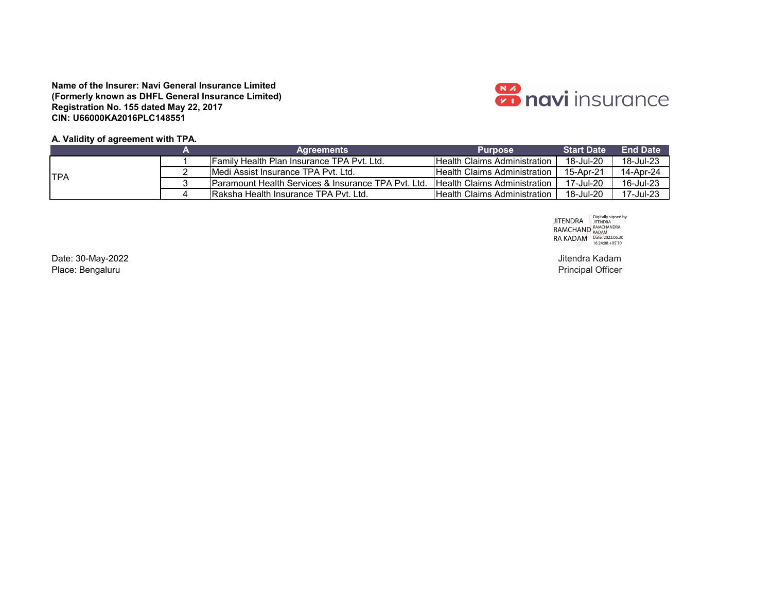

## **A. Validity of agreement with TPA.**

|             | <b>Agreements</b>                                               | <b>Purpose</b>                       | <b>Start Date</b> | <b>End Date</b> |
|-------------|-----------------------------------------------------------------|--------------------------------------|-------------------|-----------------|
|             | <b>IFamily Health Plan Insurance TPA Pyt. Ltd.</b>              | <b>IHealth Claims Administration</b> | 18-Jul-20         | 18-Jul-23       |
| <b>ITPA</b> | <b>IMedi Assist Insurance TPA Pvt. Ltd.</b>                     | <b>IHealth Claims Administration</b> | 15-Apr-21         | 14-Apr-24       |
|             | <b>IParamount Health Services &amp; Insurance TPA Pvt. Ltd.</b> | <b>Health Claims Administration</b>  | 17-Jul-20         | 16-Jul-23       |
|             | <b>IRaksha Health Insurance TPA Pvt. Ltd.</b>                   | <b>IHealth Claims Administration</b> | 18-Jul-20         | 17-Jul-23       |

JITENDRA RAMCHAND RA KADAM Digitally signed by JITENDRA RAMCHANDRA KADAM Date: 2022.05.30 16:24:08 +05'30'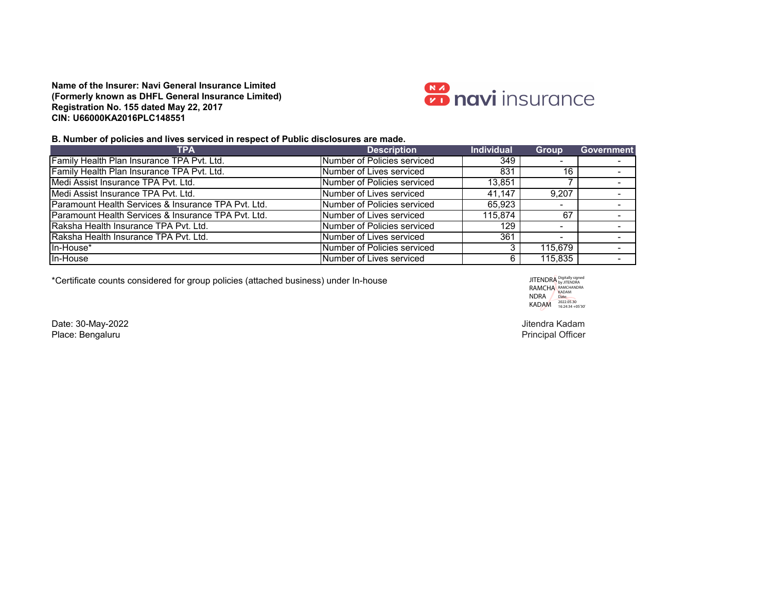

## **B. Number of policies and lives serviced in respect of Public disclosures are made.**

| <b>TPA</b>                                           | <b>Description</b>          | <b>Individual</b> | <b>Group</b>             | <b>Government</b>        |
|------------------------------------------------------|-----------------------------|-------------------|--------------------------|--------------------------|
| Family Health Plan Insurance TPA Pvt. Ltd.           | Number of Policies serviced | 349               | $\overline{\phantom{0}}$ |                          |
| Family Health Plan Insurance TPA Pvt. Ltd.           | Number of Lives serviced    | 831               | 16                       |                          |
| Medi Assist Insurance TPA Pvt. Ltd.                  | Number of Policies serviced | 13,851            |                          |                          |
| Medi Assist Insurance TPA Pvt. Ltd.                  | Number of Lives serviced    | 41.147            | 9.207                    |                          |
| Paramount Health Services & Insurance TPA Pvt. Ltd.  | Number of Policies serviced | 65,923            | $\overline{\phantom{0}}$ |                          |
| IParamount Health Services & Insurance TPA Pvt. Ltd. | Number of Lives serviced    | 115.874           | 67                       |                          |
| <b>IRaksha Health Insurance TPA Pvt. Ltd.</b>        | Number of Policies serviced | 129               |                          |                          |
| Raksha Health Insurance TPA Pvt. Ltd.                | Number of Lives serviced    | 361               | $\overline{\phantom{0}}$ |                          |
| In-House*                                            | Number of Policies serviced |                   | 115,679                  | $\overline{\phantom{a}}$ |
| In-House                                             | Number of Lives serviced    |                   | 115,835                  |                          |

\*Certificate counts considered for group policies (attached business) under In-house

**JITENDRA RAMCHA** NDRA KADAM Digitally signed<br>by JITENDRA<br>RAMCHANDRA<br>KADAM<br>Date:<br>2022.05.30<br>16:24:34 +05'30'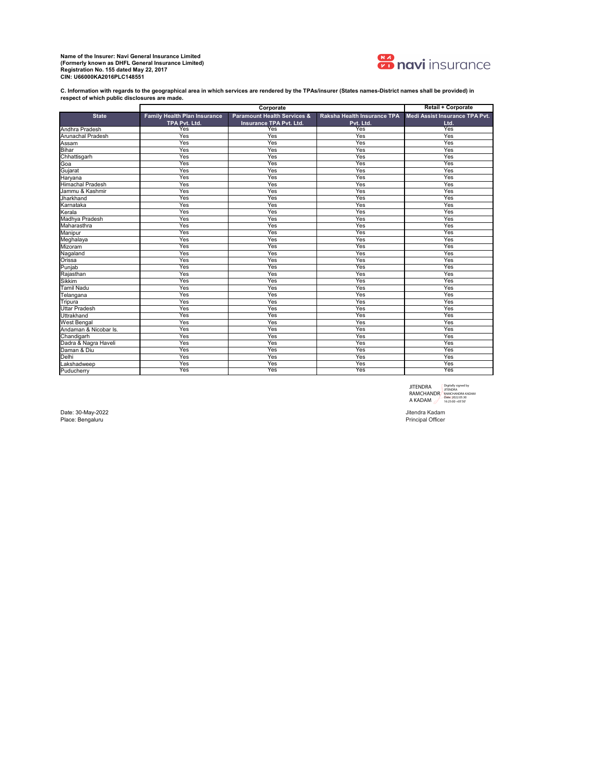

**C. Information with regards to the geographical area in which services are rendered by the TPAs/insurer (States names-District names shall be provided) in respect of which public disclosures are made.** 

|                         |                                     | Corporate                              |                             | <b>Retail + Corporate</b>      |
|-------------------------|-------------------------------------|----------------------------------------|-----------------------------|--------------------------------|
| <b>State</b>            | <b>Family Health Plan Insurance</b> | <b>Paramount Health Services &amp;</b> | Raksha Health Insurance TPA | Medi Assist Insurance TPA Pvt. |
|                         | TPA Pvt. Ltd.                       | Insurance TPA Pvt. Ltd.                | Pvt. Ltd.                   | Ltd.                           |
| Andhra Pradesh          | Yes                                 | Yes                                    | Yes                         | Yes                            |
| Arunachal Pradesh       | Yes                                 | Yes                                    | Yes                         | Yes                            |
| Assam                   | Yes                                 | Yes                                    | Yes                         | Yes                            |
| <b>Bihar</b>            | Yes                                 | Yes                                    | Yes                         | Yes                            |
| Chhattisgarh            | Yes                                 | Yes                                    | Yes                         | Yes                            |
| Goa                     | Yes                                 | Yes                                    | Yes                         | Yes                            |
| Gujarat                 | Yes                                 | Yes                                    | Yes                         | Yes                            |
| Haryana                 | Yes                                 | Yes                                    | Yes                         | Yes                            |
| <b>Himachal Pradesh</b> | Yes                                 | Yes                                    | Yes                         | Yes                            |
| Jammu & Kashmir         | Yes                                 | Yes                                    | Yes                         | Yes                            |
| Jharkhand               | Yes                                 | Yes                                    | Yes                         | Yes                            |
| Karnataka               | Yes                                 | Yes                                    | Yes                         | Yes                            |
| Kerala                  | Yes                                 | Yes                                    | Yes                         | Yes                            |
| Madhya Pradesh          | Yes                                 | Yes                                    | Yes                         | Yes                            |
| Maharasthra             | Yes                                 | Yes                                    | Yes                         | Yes                            |
| Manipur                 | Yes                                 | Yes                                    | Yes                         | Yes                            |
| Meghalaya               | Yes                                 | Yes                                    | Yes                         | Yes                            |
| Mizoram                 | Yes                                 | Yes                                    | Yes                         | Yes                            |
| Nagaland                | Yes                                 | Yes                                    | Yes                         | Yes                            |
| Orissa                  | Yes                                 | Yes                                    | Yes                         | Yes                            |
| Punjab                  | Yes                                 | Yes                                    | Yes                         | Yes                            |
| Rajasthan               | Yes                                 | Yes                                    | Yes                         | Yes                            |
| <b>Sikkim</b>           | Yes                                 | Yes                                    | Yes                         | Yes                            |
| <b>Tamil Nadu</b>       | Yes                                 | Yes                                    | Yes                         | Yes                            |
| Telangana               | Yes                                 | Yes                                    | Yes                         | Yes                            |
| Tripura                 | Yes                                 | Yes                                    | Yes                         | Yes                            |
| <b>Uttar Pradesh</b>    | Yes                                 | Yes                                    | Yes                         | Yes                            |
| Uttrakhand              | Yes                                 | Yes                                    | Yes                         | Yes                            |
| <b>West Bengal</b>      | Yes                                 | Yes                                    | Yes                         | Yes                            |
| Andaman & Nicobar Is.   | Yes                                 | Yes                                    | Yes                         | Yes                            |
| Chandigarh              | Yes                                 | Yes                                    | Yes                         | Yes                            |
| Dadra & Nagra Haveli    | Yes                                 | Yes                                    | Yes                         | Yes                            |
| Daman & Diu             | Yes                                 | Yes                                    | Yes                         | Yes                            |
| Delhi                   | Yes                                 | Yes                                    | Yes                         | Yes                            |
| Lakshadweep             | Yes                                 | Yes                                    | Yes                         | Yes                            |
| Puducherry              | Yes                                 | Yes                                    | Yes                         | Yes                            |

JITENDRA<br>RAMCHANDR<br>A KADAM Digitally signed by JITENDRA RAMCHANDRA KADAM Date: 2022.05.30 16:25:00 +05'30'

Date: 30-May-2022 Jitendra Kadam<br>Place: Bengaluru المستحدث المستحدث المستحدث المستحدث المستحدث المستحدث المستحدث المستحدث المستحدث المستحدث المستحدث Place: Bengaluru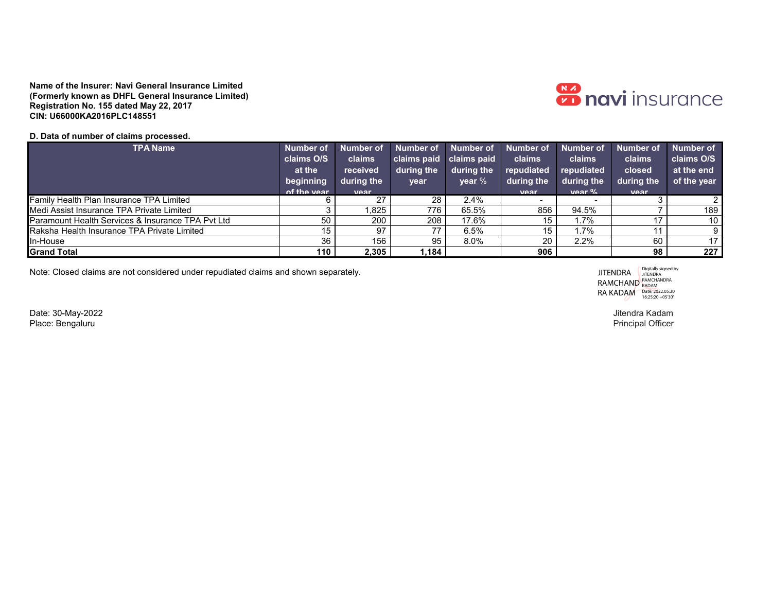

## **D. Data of number of claims processed.**

| <b>TPA Name</b>                                   | Number of   | <b>Number of</b> | Number of               | Number of Number of |                          | <b>Number of</b> | <b>Number of</b> | Number of       |
|---------------------------------------------------|-------------|------------------|-------------------------|---------------------|--------------------------|------------------|------------------|-----------------|
|                                                   | claims O/S  | claims           | claims paid claims paid |                     | claims                   | claims           | claims           | claims O/S      |
|                                                   | at the      | received         | during the              | during the          | repudiated               | repudiated       | closed           | at the end      |
|                                                   | beginning   | during the       | year                    | $\mathsf{year}~\%$  | during the               | during the       | during the       | of the year     |
|                                                   | of the year | <b>Vear</b>      |                         |                     | <b>Vear</b>              | var %            | Vear             |                 |
| <b>Family Health Plan Insurance TPA Limited</b>   |             | 27               | 28                      | 2.4%                | $\overline{\phantom{0}}$ |                  |                  | 2               |
| Medi Assist Insurance TPA Private Limited         |             | .825             | 776                     | 65.5%               | 856                      | 94.5%            |                  | 189             |
| Paramount Health Services & Insurance TPA Pvt Ltd | 50          | 200              | 208                     | 17.6%               | 15                       | 1.7%             |                  | 10 <sup>1</sup> |
| Raksha Health Insurance TPA Private Limited       | 15          | 97               | 77                      | 6.5%                | 15                       | 1.7%             |                  | 9.              |
| In-House                                          | 36          | 156              | 95                      | 8.0%                | 20 <sub>1</sub>          | 2.2%             | 60               | 17              |
| <b>Grand Total</b>                                | 110         | 2,305            | 1,184                   |                     | 906                      |                  | 98               | 227             |

Note: Closed claims are not considered under repudiated claims and shown separately.

JITENDRA **RAMCHAND** RA KADAM Digitally signed by JITENDRA RAMCHANDRA KADAM Date: 2022.05.30 16:25:20 +05'30'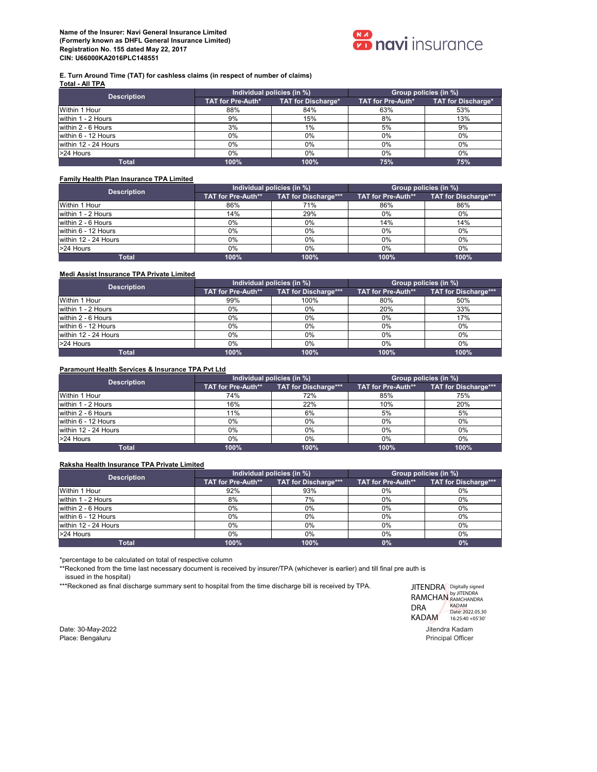

#### **E. Turn Around Time (TAT) for cashless claims (in respect of number of claims) Total - All TPA**

| <b>Description</b>   | Individual policies (in %) |                    | Group policies (in %) |                    |  |  |  |
|----------------------|----------------------------|--------------------|-----------------------|--------------------|--|--|--|
|                      | TAT for Pre-Auth*          | TAT for Discharge* | TAT for Pre-Auth*     | TAT for Discharge* |  |  |  |
| Within 1 Hour        | 88%                        | 84%                | 63%                   | 53%                |  |  |  |
| within 1 - 2 Hours   | 9%                         | 15%                | 8%                    | 13%                |  |  |  |
| within 2 - 6 Hours   | 3%                         | 1%                 | 5%                    | 9%                 |  |  |  |
| within 6 - 12 Hours  | $0\%$                      | $0\%$              | $0\%$                 | $0\%$              |  |  |  |
| within 12 - 24 Hours | $0\%$                      | 0%                 | $0\%$                 | $0\%$              |  |  |  |
| >24 Hours            | 0%                         | 0%                 | $0\%$                 | $0\%$              |  |  |  |
| <b>Total</b>         | 100%                       | 100%               | 75%                   | 75%                |  |  |  |

### **Family Health Plan Insurance TPA Limited**

| <b>Description</b>   |                    | Individual policies (in %) | Group policies (in %) |                      |  |  |  |
|----------------------|--------------------|----------------------------|-----------------------|----------------------|--|--|--|
|                      | TAT for Pre-Auth** | TAT for Discharge***       | TAT for Pre-Auth**    | TAT for Discharge*** |  |  |  |
| Within 1 Hour        | 86%                | 71%                        | 86%                   | 86%                  |  |  |  |
| within 1 - 2 Hours   | 14%                | 29%                        | $0\%$                 | $0\%$                |  |  |  |
| within 2 - 6 Hours   | $0\%$              | $0\%$                      | 14%                   | 14%                  |  |  |  |
| within 6 - 12 Hours  | $0\%$              | $0\%$                      | $0\%$                 | $0\%$                |  |  |  |
| within 12 - 24 Hours | $0\%$              | 0%                         | $0\%$                 | $0\%$                |  |  |  |
| >24 Hours            | 0%                 | $0\%$                      | $0\%$                 | $0\%$                |  |  |  |
| Total                | 100%               | 100%                       | 100%                  | 100%                 |  |  |  |

### **Medi Assist Insurance TPA Private Limited**

| <b>Description</b>   |                    | Individual policies (in %) | Group policies (in %) |                      |  |  |  |  |
|----------------------|--------------------|----------------------------|-----------------------|----------------------|--|--|--|--|
|                      | TAT for Pre-Auth** | TAT for Discharge***       | TAT for Pre-Auth**    | TAT for Discharge*** |  |  |  |  |
| Within 1 Hour        | 99%                | 100%                       | 80%                   | 50%                  |  |  |  |  |
| within 1 - 2 Hours   | 0%                 | $0\%$                      | 20%                   | 33%                  |  |  |  |  |
| within 2 - 6 Hours   | 0%                 | $0\%$                      | 0%                    | 17%                  |  |  |  |  |
| within 6 - 12 Hours  | $0\%$              | $0\%$                      | $0\%$                 | $0\%$                |  |  |  |  |
| within 12 - 24 Hours | $0\%$              | $0\%$                      | 0%                    | $0\%$                |  |  |  |  |
| >24 Hours            | 0%                 | $0\%$                      | $0\%$                 | 0%                   |  |  |  |  |
| Total                | 100%               | 100%                       | 100%                  | 100%                 |  |  |  |  |

### **Paramount Health Services & Insurance TPA Pvt Ltd**

| <b>Description</b>   |                    | Individual policies (in %)  | Group policies (in %) |                             |  |  |  |
|----------------------|--------------------|-----------------------------|-----------------------|-----------------------------|--|--|--|
|                      | TAT for Pre-Auth** | <b>TAT for Discharge***</b> | TAT for Pre-Auth**    | <b>TAT for Discharge***</b> |  |  |  |
| Within 1 Hour        | 74%                | 72%                         | 85%                   | 75%                         |  |  |  |
| within 1 - 2 Hours   | 16%                | 22%                         | 10%                   | 20%                         |  |  |  |
| within 2 - 6 Hours   | 11%                | 6%                          | 5%                    | 5%                          |  |  |  |
| within 6 - 12 Hours  | 0%                 | $0\%$                       | $0\%$                 | 0%                          |  |  |  |
| within 12 - 24 Hours | 0%                 | $0\%$                       | $0\%$                 | $0\%$                       |  |  |  |
| >24 Hours            | 0%                 | $0\%$                       | 0%                    | $0\%$                       |  |  |  |
| <b>Total</b>         | 100%               | 100%                        | 100%                  | 100%                        |  |  |  |

#### **Raksha Health Insurance TPA Private Limited**

| <b>Description</b>   |                    | Individual policies (in %) | Group policies (in %) |                      |  |  |  |
|----------------------|--------------------|----------------------------|-----------------------|----------------------|--|--|--|
|                      | TAT for Pre-Auth** | TAT for Discharge***       | TAT for Pre-Auth**    | TAT for Discharge*** |  |  |  |
| Within 1 Hour        | 92%                | 93%                        | 0%                    | 0%                   |  |  |  |
| within 1 - 2 Hours   | 8%                 | 7%                         | 0%                    | 0%                   |  |  |  |
| within 2 - 6 Hours   | 0%                 | $0\%$                      | $0\%$                 | 0%                   |  |  |  |
| within 6 - 12 Hours  | 0%                 | $0\%$                      | 0%                    | 0%                   |  |  |  |
| within 12 - 24 Hours | 0%                 | 0%                         | 0%                    | 0%                   |  |  |  |
| >24 Hours            | 0%                 | $0\%$                      | $0\%$                 | 0%                   |  |  |  |
| Total                | 100%               | 100%                       | 0%                    | 0%                   |  |  |  |

\*percentage to be calculated on total of respective column

\*\*Reckoned from the time last necessary document is received by insurer/TPA (whichever is earlier) and till final pre auth is

issued in the hospital)

\*\*\*Reckoned as final discharge summary sent to hospital from the time discharge bill is received by TPA.

JITENDRA Digitally signed RAMCHAN BUJITENDRA<br>DRA KADAM DRA KADAM Date: 2022.05.30 16:25:40 +05'30'

لاد المسافر المستخدم المستخدم المستخدم المستخدم المستخدم المستخدم المستخدم المستخدم المستخدم المستخدم المستخدم<br>المستخدم المستخدم المستخدم المستخدم المستخدم المستخدم المستخدم المستخدم المستخدم المستخدم المستخدم المستخدم ال Place: Bengaluru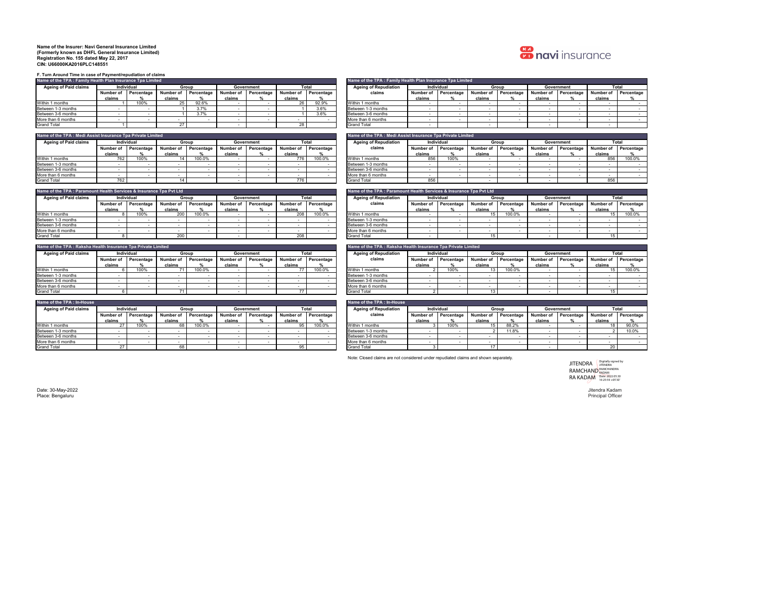

**F. Turn Around Time in case of Payment/repudiation of claims**

|                              | Name of the TPA : Family Health Plan Insurance Tpa Limited |                             |                      |       |        |                                |        |            |  |                              |        | Name of the TPA : Family Health Plan Insurance Tpa Limited |        |       |        |                      |                      |       |
|------------------------------|------------------------------------------------------------|-----------------------------|----------------------|-------|--------|--------------------------------|--------|------------|--|------------------------------|--------|------------------------------------------------------------|--------|-------|--------|----------------------|----------------------|-------|
| <b>Ageing of Paid claims</b> |                                                            | Individual                  |                      | Group |        | Total<br>Government            |        |            |  | <b>Ageing of Repudiation</b> |        | Individual                                                 |        | Group |        | Government           |                      | Total |
|                              |                                                            | <b>Number of Percentage</b> | Number of Percentage |       |        | Number of Percentage Number of |        | Percentage |  | claims                       |        | Number of Percentage Number of Percentage                  |        |       |        | Number of Percentage | Number of Percentage |       |
|                              | claims                                                     |                             | claims               |       | claims |                                | claims |            |  |                              | claims |                                                            | claims |       | claims |                      | claims               |       |
| Within 1 months              |                                                            | 100%                        |                      | 92.6% |        |                                |        | 92.9%      |  | Within 1 months              |        |                                                            |        |       |        |                      |                      |       |
| Between 1-3 months           |                                                            |                             |                      | 3.7%  |        |                                |        | 3.6%       |  | Between 1-3 months           |        |                                                            |        |       |        |                      |                      |       |
| Between 3-6 months           |                                                            |                             |                      | 3.7%  |        |                                |        | 3.6%       |  | Between 3-6 months           |        |                                                            |        |       |        |                      |                      |       |
| More than 6 months           |                                                            |                             |                      |       |        |                                |        |            |  | More than 6 months           |        |                                                            |        |       |        |                      |                      |       |
| Grand Total                  |                                                            |                             |                      |       |        |                                |        |            |  | Grand Total                  |        |                                                            |        |       |        |                      |                      |       |

| Name of the TPA : Medi Assist Insurance Tpa Private Limited |        |                      |           |            |           |                     |             |            | Name of the TPA: Medi Assist Insurance Tpa Private Limited |           |            |           |                   |           |                   |           |       |
|-------------------------------------------------------------|--------|----------------------|-----------|------------|-----------|---------------------|-------------|------------|------------------------------------------------------------|-----------|------------|-----------|-------------------|-----------|-------------------|-----------|-------|
| <b>Ageing of Paid claims</b>                                |        | Individual           |           | Group      |           | Total<br>Government |             |            | <b>Ageing of Repudiation</b>                               |           | Individual |           | Group             |           | Government        |           | Total |
|                                                             |        | Number of Percentage | Number of | Percentage | Number of | Percentage          | . Number of | Percentage | claims                                                     | Number of | Percentage | Number of | <b>Percentage</b> | Number of | <b>Percentage</b> | Number of |       |
|                                                             | claims |                      | claims    |            | claims    |                     | claims      |            |                                                            | claims    |            | claims    |                   | claims    |                   | claims    |       |
| Within 1 months                                             |        | 100%                 |           | 100.0%     |           |                     | 776         | 100.0%     | Within 1 months                                            | 856       | 100%       |           |                   |           |                   | 856       |       |
| Between 1-3 months                                          |        |                      |           |            |           |                     |             |            | Between 1-3 months                                         |           |            |           |                   |           |                   |           |       |
| Between 3-6 months                                          |        |                      |           |            |           |                     |             |            | Between 3-6 months                                         |           |            |           |                   |           |                   |           |       |
| More than 6 months                                          |        |                      |           |            |           |                     |             |            | More than 6 months                                         |           |            |           |                   |           |                   |           |       |
| <b>Grand Total</b>                                          |        |                      |           |            |           |                     | 776         |            | <b>Grand Total</b>                                         | 856       |            |           |                   |           |                   | 856       |       |

| Name of the TPA : Paramount Health Services & Insurance Tpa Pvt Ltd |        |                      |           |                      |        |            |           |            | Name of the TPA : Paramount Health Services & Insurance Tpa Pvt Ltd |           |            |           |                              |           |                   |           |       |  |            |  |       |
|---------------------------------------------------------------------|--------|----------------------|-----------|----------------------|--------|------------|-----------|------------|---------------------------------------------------------------------|-----------|------------|-----------|------------------------------|-----------|-------------------|-----------|-------|--|------------|--|-------|
| <b>Ageing of Paid claims</b>                                        |        | Individual           |           | Group                |        | Government | Total     |            |                                                                     |           |            |           | <b>Ageing of Repudiation</b> |           | Individual        |           | Group |  | Government |  | Total |
|                                                                     |        | Number of Percentage | Number of | Percentage Number of |        | Percentage | Number of | Percentage | claims                                                              | Number of | Percentage | Number of | Percentage                   | Number of | <b>Percentage</b> | Number of |       |  |            |  |       |
|                                                                     | claims |                      | claims    |                      | claims |            | claims    |            |                                                                     | claims    |            | claims    |                              | claims    |                   | claims    |       |  |            |  |       |
| Within 1 months                                                     |        | 100%                 | 200       | 100.0%               |        |            | 208       | 100.0%     | Within 1 months                                                     |           |            |           | 100.0%                       |           |                   |           |       |  |            |  |       |
| Between 1-3 months                                                  |        |                      |           |                      |        |            |           |            | Between 1-3 months                                                  |           |            |           |                              |           |                   |           |       |  |            |  |       |
| Between 3-6 months                                                  |        |                      |           |                      |        |            |           |            | Between 3-6 months                                                  |           |            |           |                              |           |                   |           |       |  |            |  |       |
| More than 6 months                                                  |        |                      |           |                      |        |            |           |            | More than 6 months                                                  |           |            |           |                              |           |                   |           |       |  |            |  |       |
| Crond Total                                                         |        |                      | 200       |                      |        |            | 200       |            | Crond Total                                                         |           |            |           |                              |           |                   |           |       |  |            |  |       |

| Name of the TPA : Raksha Health Insurance Tpa Private Limited | Name of the TPA: Raksha Health Insurance Tpa Private Limited |                                            |           |            |           |                              |            |            |       |                    |            |            |             |            |             |            |           |  |
|---------------------------------------------------------------|--------------------------------------------------------------|--------------------------------------------|-----------|------------|-----------|------------------------------|------------|------------|-------|--------------------|------------|------------|-------------|------------|-------------|------------|-----------|--|
| <b>Ageing of Paid claims</b>                                  |                                                              | Individual<br>Total<br>Government<br>Group |           |            |           | <b>Ageing of Repudiation</b> | Individual |            | Group |                    | Government |            | Total       |            |             |            |           |  |
|                                                               |                                                              | <b>Number of Percentage</b>                | Number of | Percentage | Number of | Percentage                   | Number of  | Percentage |       | claims             | Number of  | Percentage | I Number of | Percentage | I Number of | Percentage | Number of |  |
|                                                               | claims                                                       |                                            | claims    |            | claims    |                              | claims     |            |       |                    | claims     |            | claims      |            | claims      |            | claims    |  |
| Within 1 months                                               |                                                              | 100%                                       |           | 100.0%     |           |                              |            | 100.0%     |       | Within 1 months    |            | 100%       |             | 100.0%     |             |            |           |  |
| Between 1-3 months                                            |                                                              |                                            |           |            |           |                              |            |            |       | Between 1-3 months |            |            |             |            |             |            |           |  |
| Between 3-6 months                                            |                                                              |                                            |           |            |           |                              |            |            |       | Between 3-6 months |            |            |             |            |             |            |           |  |
| More than 6 months                                            |                                                              |                                            |           |            |           |                              |            |            |       | More than 6 months |            |            |             |            |             |            |           |  |
| <b>Grand Total</b>                                            |                                                              |                                            |           |            |           |                              |            |            |       | <b>Grand Total</b> |            |            |             |            |             |            |           |  |

| Name of the TPA : In-House   |           |            |           |            |                                                     |                      |             |            | Name of the TPA : In-House |                      |      |            |            |           |            |           |          |
|------------------------------|-----------|------------|-----------|------------|-----------------------------------------------------|----------------------|-------------|------------|----------------------------|----------------------|------|------------|------------|-----------|------------|-----------|----------|
| <b>Ageing of Paid claims</b> |           | Individual |           | Group      | <b>Ageing of Repudiation</b><br>Total<br>Government |                      | Individual  |            | Group                      |                      |      | Government |            | Total     |            |           |          |
|                              | Number of | Percentage | Number of | Percentage |                                                     | Number of Percentage | I Number of | Percentage | claims                     | Number of Percentage |      | Number of  | Percentage | Number of | Percentage | Number of | Percenta |
|                              | claims    |            | claims    |            | claims                                              |                      | claims      |            |                            | claims               |      | claims     |            | claims    |            | claims    |          |
| Within 1 months              |           | 100%       |           | 100.0%     |                                                     |                      |             | 100.0%     | Within 1 months            |                      | 100% |            | 88.2%      |           |            |           | 90.0%    |
| Between 1-3 months           |           |            |           |            |                                                     |                      |             |            | Between 1-3 months         |                      |      |            | 11.8%      |           |            |           | 10.0%    |
| Between 3-6 months           |           |            |           |            |                                                     |                      |             |            | Between 3-6 months         |                      |      |            |            |           |            |           |          |
| More than 6 months           |           |            |           |            |                                                     |                      |             |            | More than 6 months         |                      |      |            |            |           |            |           |          |
| Grand Total                  |           |            |           |            |                                                     |                      |             |            | <b>Grand Total</b>         |                      |      |            |            |           |            |           |          |

|                                                               | claims                                                                                                                                   |            | claims    |            | claims      | . .        | claims    |            |                                                             | claims               |            | claims                   |            | claims    |            | claims    |            |
|---------------------------------------------------------------|------------------------------------------------------------------------------------------------------------------------------------------|------------|-----------|------------|-------------|------------|-----------|------------|-------------------------------------------------------------|----------------------|------------|--------------------------|------------|-----------|------------|-----------|------------|
| Within 1 months                                               |                                                                                                                                          | 100%       | 25        | 92.6%      |             |            | 26        | 92.9%      | Within 1 months                                             |                      |            |                          |            |           | ٠.         |           |            |
| Between 1-3 months                                            |                                                                                                                                          |            |           | 3.7%       |             |            |           | 3.6%       | Between 1-3 months                                          | х.                   |            |                          |            |           | ٠.         |           |            |
| Between 3-6 months                                            |                                                                                                                                          |            |           | 3.7%       | <b>1999</b> |            |           | 3.6%       | Between 3-6 months                                          | . .                  |            | $\sim$                   |            |           | ٠.         | $\sim$    |            |
| More than 6 months                                            | ٠.                                                                                                                                       | ٠.         |           |            | <b>1999</b> |            | ۰.        |            | More than 6 months                                          | . .                  |            | $\sim$                   |            |           | ٠.         | $\sim$    |            |
| <b>Grand Total</b>                                            |                                                                                                                                          |            | 27        |            |             |            | 28        |            | <b>Grand Total</b>                                          |                      |            |                          |            |           |            |           |            |
|                                                               |                                                                                                                                          |            |           |            |             |            |           |            |                                                             |                      |            |                          |            |           |            |           |            |
| Name of the TPA : Medi Assist Insurance Tpa Private Limited   |                                                                                                                                          |            |           |            |             |            |           |            | Vame of the TPA:Medi Assist Insurance Tpa Private Limited   |                      |            |                          |            |           |            |           |            |
| <b>Ageing of Paid claims</b>                                  | Individual                                                                                                                               |            |           | Group      |             | Government | Total     |            | <b>Ageing of Repudiation</b>                                |                      | Individual | Group                    |            |           | Government |           | Total      |
|                                                               | Number of                                                                                                                                | Percentage | Number of | Percentage | Number of   | Percentage | Number of | Percentage | claims                                                      | Number of Percentage |            | Number of                | Percentage | Number of | Percentage | Number of | Percentage |
|                                                               | claims                                                                                                                                   |            | claims    |            | claims      |            | claims    |            |                                                             | claims               |            | claims                   |            | claims    |            | claims    |            |
| Within 1 months                                               | 762                                                                                                                                      | 100%       | 14        | 100.0%     |             |            | 776       | 100.0%     | Within 1 months                                             | 856                  | 100%       |                          |            |           |            | 856       | 100.0%     |
| Between 1-3 months                                            |                                                                                                                                          |            |           |            |             |            |           |            | Between 1-3 months                                          |                      |            |                          |            |           |            |           |            |
| Between 3-6 months                                            |                                                                                                                                          |            |           |            |             |            | ۰.        |            | Between 3-6 months                                          | . .                  |            | $\sim$                   |            |           | ٠.         |           |            |
| More than 6 months                                            | . н.                                                                                                                                     |            | ٠.        | ۰.         | <b>1999</b> |            | ×.        |            | More than 6 months                                          | a.                   |            | $\sim$                   |            |           | ٠.         | . н.      |            |
| <b>Grand Total</b>                                            | 762                                                                                                                                      |            | 14        |            |             |            | 776       |            | <b>Grand Total</b>                                          | 856                  |            |                          |            |           |            | 856       |            |
|                                                               |                                                                                                                                          |            |           |            |             |            |           |            |                                                             |                      |            |                          |            |           |            |           |            |
|                                                               | Vame of the TPA:Paramount Health Services & Insurance Tpa Pvt Ltd<br>Name of the TPA : Paramount Health Services & Insurance Tpa Pyt Ltd |            |           |            |             |            |           |            |                                                             |                      |            |                          |            |           |            |           |            |
| <b>Ageing of Paid claims</b><br>Individual                    |                                                                                                                                          |            | Group     |            | Government  |            | Total     |            | <b>Ageing of Repudiation</b>                                |                      | Individual |                          | Group      |           | Government | Total     |            |
|                                                               | Number of                                                                                                                                | Percentage | Number of | Percentage | Number of   | Percentage | Number of | Percentage | claims                                                      | Number of            | Percentage | Number of                | Percentage | Number of | Percentage | Number of | Percentage |
|                                                               | claims                                                                                                                                   |            | claims    |            | claims      |            | claims    |            |                                                             | claims               |            | claims                   |            | claims    |            | claims    |            |
| Within 1 months                                               |                                                                                                                                          | 100%       | 200       | 100.0%     |             |            | 208       | 100.0%     | Within 1 months                                             |                      |            |                          | 100.0%     |           |            | 15        | 100.0%     |
| Between 1-3 months                                            |                                                                                                                                          |            |           |            |             |            |           |            | Between 1-3 months                                          |                      |            |                          |            |           |            |           |            |
| Between 3-6 months                                            |                                                                                                                                          |            |           |            |             |            |           |            | Between 3-6 months                                          | . .                  |            | $\sim$                   |            |           |            |           |            |
| More than 6 months                                            | $\sim$                                                                                                                                   |            |           |            | <b>1999</b> |            |           |            | More than 6 months                                          | . .                  |            | $\overline{\phantom{a}}$ |            |           | ٠.         | $\sim$    |            |
| <b>Grand Total</b>                                            | 8                                                                                                                                        |            | 200       |            |             |            | 208       |            | <b>Grand Total</b>                                          |                      |            | 15                       |            |           |            | 15        |            |
|                                                               |                                                                                                                                          |            |           |            |             |            |           |            |                                                             |                      |            |                          |            |           |            |           |            |
| Name of the TPA : Raksha Health Insurance Tpa Private Limited |                                                                                                                                          |            |           |            |             |            |           |            | Name of the TPA:Raksha Health Insurance Tpa Private Limited |                      |            |                          |            |           |            |           |            |
| <b>Ageing of Paid claims</b>                                  | Individual                                                                                                                               |            |           | Group      | Government  |            | Total     |            | <b>Ageing of Repudiation</b>                                |                      | Individual |                          | Group      |           | Government | Total     |            |
|                                                               | Number of                                                                                                                                | Percentage | Number of | Percentage | Number of   | Percentage | Number of | Percentage | claims                                                      | Number of            | Percentage | Number of                | Percentage | Number of | Percentage | Number of | Percentage |
|                                                               | claims                                                                                                                                   |            | claims    |            | claims      |            | claims    |            |                                                             | claims               |            | claims                   |            | claims    |            | claims    |            |
| Within 1 months                                               |                                                                                                                                          | 100%       | 71        | 100.0%     | <b>1999</b> |            | 77        | 100.0%     | Within 1 months                                             |                      | 100%       |                          | 100.0%     |           | $\sim$     | 15        | 100.0%     |
| Between 1-3 months                                            |                                                                                                                                          | ٠.         | ٠.        | $\sim$     | <b>1999</b> |            | $\sim$    |            | Between 1-3 months                                          |                      |            | $\sim$                   |            |           | ٠.         |           |            |
| Between 3-6 months                                            | $\sim$                                                                                                                                   |            | ٠.        | ۰.         |             |            | $\sim$    |            | Between 3-6 months                                          | . .                  |            | $\sim$                   |            |           | ٠.         |           |            |
| More than 6 months                                            |                                                                                                                                          |            |           | ۰.         |             |            | ٠         |            | oore than 6 months                                          | . .                  |            | $\overline{\phantom{a}}$ |            |           | $\sim$     |           |            |
| <b>Grand Total</b>                                            | 6                                                                                                                                        |            | 71        |            |             |            | 77        |            | <b>Grand Total</b>                                          | $\mathcal{P}$        |            | 13                       |            |           |            | 15        |            |
|                                                               |                                                                                                                                          |            |           |            |             |            |           |            |                                                             |                      |            |                          |            |           |            |           |            |

| Name of the TPA : In-House   |           |            |           |            |                |            |           |            |  | Name of the TPA : In-House   |            |            |           |            |            |            |           |            |
|------------------------------|-----------|------------|-----------|------------|----------------|------------|-----------|------------|--|------------------------------|------------|------------|-----------|------------|------------|------------|-----------|------------|
| <b>Ageing of Paid claims</b> |           | Individual |           | Group      |                | Government |           | Total      |  | <b>Ageing of Repudiation</b> | Individual |            | Group     |            | Government |            |           | Total      |
|                              | Number of | Percentage | Number of | Percentage | John Mumber of | Percentage | Number of | Percentage |  | claims                       | Number of  | Percentage | Number of | Percentage | Number of  | Percentage | Number of | Percentage |
|                              | claims    |            | claims    |            | claims         |            | claims    |            |  |                              | claims     |            | claims    |            | claims     |            | claims    |            |
| Within 1 months              |           | 100%       |           | 100.0%     |                |            | 95        | 100.0%     |  | Within 1 months              |            | 100%       |           | 88.2%      |            |            |           | 90.0%      |
| Between 1-3 months           |           |            |           |            |                |            |           |            |  | Between 1-3 months           |            |            |           | 11.8%      |            |            |           | 10.0%      |
| Between 3-6 months           |           |            |           |            |                |            |           |            |  | Between 3-6 months           |            |            |           |            |            |            |           |            |
| More than 6 months           |           |            |           |            |                |            |           |            |  | More than 6 months           |            |            |           |            |            |            |           |            |
| <b>Grand Total</b>           |           |            |           |            |                |            |           |            |  | <b>Grand Total</b>           |            |            |           |            |            |            |           |            |

Note: Closed claims are not considered under repudiated claims and shown separately.

JITENDRA<br>RAMCHAND<br>RA KADAM Digitally signed by JITENDRA RAMCHANDRA KADAM Date: 2022.05.30 16:25:59 +05'30'

Date: 30-May-2022 Jitendra Kadam Place: Bengaluru Principal Officer